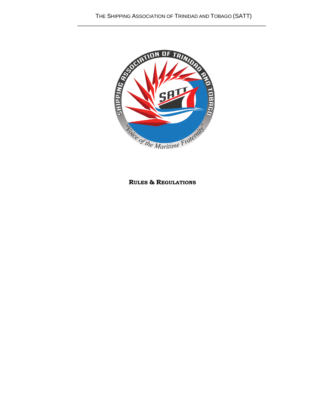\_\_\_\_\_\_\_\_\_\_\_\_\_\_\_\_\_\_\_\_\_\_\_\_\_\_\_\_\_\_\_\_\_\_\_\_\_\_\_\_\_\_\_\_\_\_\_\_\_\_\_\_\_\_\_\_\_\_



**RULES & REGULATIONS**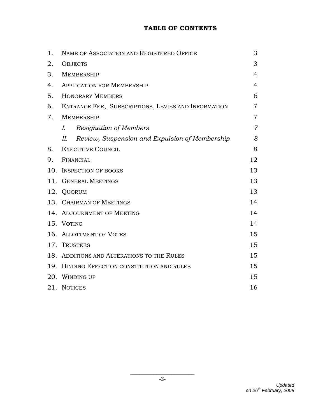# **TABLE OF CONTENTS**

| 1.  | NAME OF ASSOCIATION AND REGISTERED OFFICE            | 3              |
|-----|------------------------------------------------------|----------------|
| 2.  | <b>OBJECTS</b>                                       | 3              |
| 3.  | <b>MEMBERSHIP</b>                                    | $\overline{4}$ |
| 4.  | <b>APPLICATION FOR MEMBERSHIP</b>                    | $\overline{4}$ |
| 5.  | <b>HONORARY MEMBERS</b>                              | 6              |
| 6.  | ENTRANCE FEE, SUBSCRIPTIONS, LEVIES AND INFORMATION  | $\overline{7}$ |
| 7.  | <b>MEMBERSHIP</b>                                    | $\overline{7}$ |
|     | <b>Resignation of Members</b><br>I.                  | $\overline{7}$ |
|     | Review, Suspension and Expulsion of Membership<br>И. | 8              |
| 8.  | <b>EXECUTIVE COUNCIL</b>                             | 8              |
| 9.  | FINANCIAL                                            | 12             |
| 10. | <b>INSPECTION OF BOOKS</b>                           | 13             |
| 11. | <b>GENERAL MEETINGS</b>                              | 13             |
|     | 12. QUORUM                                           | 13             |
|     | 13. CHAIRMAN OF MEETINGS                             | 14             |
|     | 14. ADJOURNMENT OF MEETING                           | 14             |
|     | 15. VOTING                                           | 14             |
|     | 16. ALLOTTMENT OF VOTES                              | 15             |
|     | 17. TRUSTEES                                         | 15             |
|     | 18. ADDITIONS AND ALTERATIONS TO THE RULES           | 15             |
|     | 19. BINDING EFFECT ON CONSTITUTION AND RULES         | 15             |
|     | 20. WINDING UP                                       | 15             |
|     | 21. NOTICES                                          | 16             |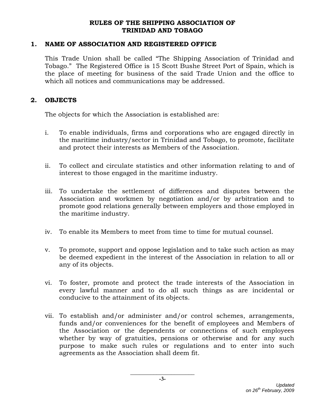#### **RULES OF THE SHIPPING ASSOCIATION OF TRINIDAD AND TOBAGO**

#### **1. NAME OF ASSOCIATION AND REGISTERED OFFICE**

This Trade Union shall be called "The Shipping Association of Trinidad and Tobago." The Registered Office is 15 Scott Bushe Street Port of Spain, which is the place of meeting for business of the said Trade Union and the office to which all notices and communications may be addressed.

#### **2. OBJECTS**

The objects for which the Association is established are:

- i. To enable individuals, firms and corporations who are engaged directly in the maritime industry/sector in Trinidad and Tobago, to promote, facilitate and protect their interests as Members of the Association.
- ii. To collect and circulate statistics and other information relating to and of interest to those engaged in the maritime industry.
- iii. To undertake the settlement of differences and disputes between the Association and workmen by negotiation and/or by arbitration and to promote good relations generally between employers and those employed in the maritime industry.
- iv. To enable its Members to meet from time to time for mutual counsel.
- v. To promote, support and oppose legislation and to take such action as may be deemed expedient in the interest of the Association in relation to all or any of its objects.
- vi. To foster, promote and protect the trade interests of the Association in every lawful manner and to do all such things as are incidental or conducive to the attainment of its objects.
- vii. To establish and/or administer and/or control schemes, arrangements, funds and/or conveniences for the benefit of employees and Members of the Association or the dependents or connections of such employees whether by way of gratuities, pensions or otherwise and for any such purpose to make such rules or regulations and to enter into such agreements as the Association shall deem fit.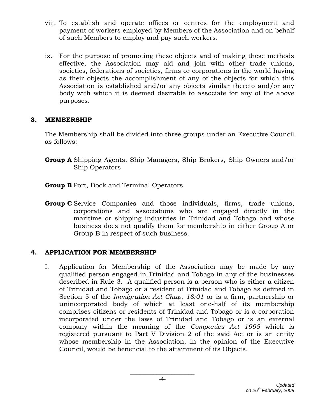- viii. To establish and operate offices or centres for the employment and payment of workers employed by Members of the Association and on behalf of such Members to employ and pay such workers.
- ix. For the purpose of promoting these objects and of making these methods effective, the Association may aid and join with other trade unions, societies, federations of societies, firms or corporations in the world having as their objects the accomplishment of any of the objects for which this Association is established and/or any objects similar thereto and/or any body with which it is deemed desirable to associate for any of the above purposes.

#### **3. MEMBERSHIP**

The Membership shall be divided into three groups under an Executive Council as follows:

- **Group A** Shipping Agents, Ship Managers, Ship Brokers, Ship Owners and/or Ship Operators
- **Group B** Port, Dock and Terminal Operators
- **Group C** Service Companies and those individuals, firms, trade unions, corporations and associations who are engaged directly in the maritime or shipping industries in Trinidad and Tobago and whose business does not qualify them for membership in either Group A or Group B in respect of such business.

### **4. APPLICATION FOR MEMBERSHIP**

I. Application for Membership of the Association may be made by any qualified person engaged in Trinidad and Tobago in any of the businesses described in Rule 3. A qualified person is a person who is either a citizen of Trinidad and Tobago or a resident of Trinidad and Tobago as defined in Section 5 of the *Immigration Act Chap. 18:01* or is a firm, partnership or unincorporated body of which at least one-half of its membership comprises citizens or residents of Trinidad and Tobago or is a corporation incorporated under the laws of Trinidad and Tobago or is an external company within the meaning of the *Companies Act 1995* which is registered pursuant to Part V Division 2 of the said Act or is an entity whose membership in the Association, in the opinion of the Executive Council, would be beneficial to the attainment of its Objects.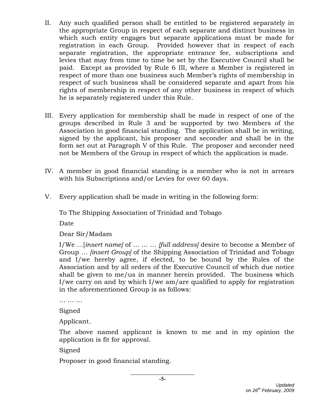- II. Any such qualified person shall be entitled to be registered separately in the appropriate Group in respect of each separate and distinct business in which such entity engages but separate applications must be made for registration in each Group. Provided however that in respect of each separate registration, the appropriate entrance fee, subscriptions and levies that may from time to time be set by the Executive Council shall be paid. Except as provided by Rule 6 III, where a Member is registered in respect of more than one business such Member's rights of membership in respect of such business shall be considered separate and apart from his rights of membership in respect of any other business in respect of which he is separately registered under this Rule.
- III. Every application for membership shall be made in respect of one of the groups described in Rule 3 and be supported by two Members of the Association in good financial standing. The application shall be in writing, signed by the applicant, his proposer and seconder and shall be in the form set out at Paragraph V of this Rule. The proposer and seconder need not be Members of the Group in respect of which the application is made.
- IV. A member in good financial standing is a member who is not in arrears with his Subscriptions and/or Levies for over 60 days.
- V. Every application shall be made in writing in the following form:

To The Shipping Association of Trinidad and Tobago

Date

Dear Sir/Madam

I/We …[*insert name]* of … … … *[full address]* desire to become a Member of Group … *[insert Group]* of the Shipping Association of Trinidad and Tobago and I/we hereby agree, if elected, to be bound by the Rules of the Association and by all orders of the Executive Council of which due notice shall be given to me/us in manner herein provided. The business which I/we carry on and by which I/we am/are qualified to apply for registration in the aforementioned Group is as follows:

… … …

Signed

Applicant.

The above named applicant is known to me and in my opinion the application is fit for approval.

Signed

Proposer in good financial standing.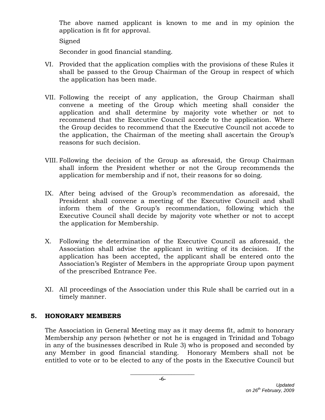The above named applicant is known to me and in my opinion the application is fit for approval.

Signed

Seconder in good financial standing.

- VI. Provided that the application complies with the provisions of these Rules it shall be passed to the Group Chairman of the Group in respect of which the application has been made.
- VII. Following the receipt of any application, the Group Chairman shall convene a meeting of the Group which meeting shall consider the application and shall determine by majority vote whether or not to recommend that the Executive Council accede to the application. Where the Group decides to recommend that the Executive Council not accede to the application, the Chairman of the meeting shall ascertain the Group's reasons for such decision.
- VIII. Following the decision of the Group as aforesaid, the Group Chairman shall inform the President whether or not the Group recommends the application for membership and if not, their reasons for so doing.
- IX. After being advised of the Group's recommendation as aforesaid, the President shall convene a meeting of the Executive Council and shall inform them of the Group's recommendation, following which the Executive Council shall decide by majority vote whether or not to accept the application for Membership.
- X. Following the determination of the Executive Council as aforesaid, the Association shall advise the applicant in writing of its decision. If the application has been accepted, the applicant shall be entered onto the Association's Register of Members in the appropriate Group upon payment of the prescribed Entrance Fee.
- XI. All proceedings of the Association under this Rule shall be carried out in a timely manner.

# **5. HONORARY MEMBERS**

The Association in General Meeting may as it may deems fit, admit to honorary Membership any person (whether or not he is engaged in Trinidad and Tobago in any of the businesses described in Rule 3) who is proposed and seconded by any Member in good financial standing. Honorary Members shall not be entitled to vote or to be elected to any of the posts in the Executive Council but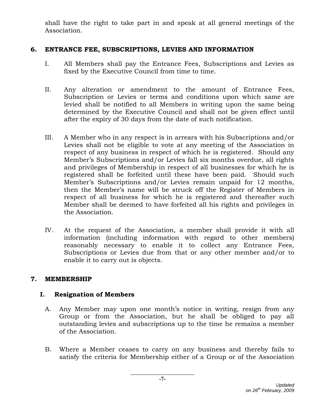shall have the right to take part in and speak at all general meetings of the Association.

# **6. ENTRANCE FEE, SUBSCRIPTIONS, LEVIES AND INFORMATION**

- I. All Members shall pay the Entrance Fees, Subscriptions and Levies as fixed by the Executive Council from time to time.
- II. Any alteration or amendment to the amount of Entrance Fees, Subscription or Levies or terms and conditions upon which same are levied shall be notified to all Members in writing upon the same being determined by the Executive Council and shall not be given effect until after the expiry of 30 days from the date of such notification.
- III. A Member who in any respect is in arrears with his Subscriptions and/or Levies shall not be eligible to vote at any meeting of the Association in respect of any business in respect of which he is registered. Should any Member's Subscriptions and/or Levies fall six months overdue, all rights and privileges of Membership in respect of all businesses for which he is registered shall be forfeited until these have been paid. Should such Member's Subscriptions and/or Levies remain unpaid for 12 months, then the Member's name will be struck off the Register of Members in respect of all business for which he is registered and thereafter such Member shall be deemed to have forfeited all his rights and privileges in the Association.
- IV. At the request of the Association, a member shall provide it with all information (including information with regard to other members) reasonably necessary to enable it to collect any Entrance Fees, Subscriptions or Levies due from that or any other member and/or to enable it to carry out is objects.

### **7. MEMBERSHIP**

# **I. Resignation of Members**

- A. Any Member may upon one month's notice in writing, resign from any Group or from the Association, but he shall be obliged to pay all outstanding levies and subscriptions up to the time he remains a member of the Association.
- B. Where a Member ceases to carry on any business and thereby fails to satisfy the criteria for Membership either of a Group or of the Association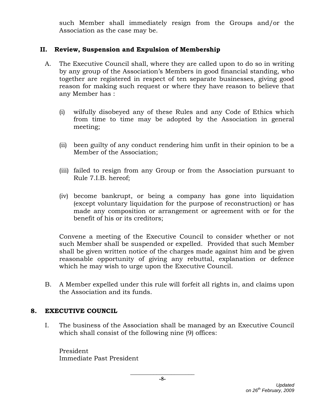such Member shall immediately resign from the Groups and/or the Association as the case may be.

### **II. Review, Suspension and Expulsion of Membership**

- A. The Executive Council shall, where they are called upon to do so in writing by any group of the Association's Members in good financial standing, who together are registered in respect of ten separate businesses, giving good reason for making such request or where they have reason to believe that any Member has :
	- (i) wilfully disobeyed any of these Rules and any Code of Ethics which from time to time may be adopted by the Association in general meeting;
	- (ii) been guilty of any conduct rendering him unfit in their opinion to be a Member of the Association;
	- (iii) failed to resign from any Group or from the Association pursuant to Rule 7.I.B. hereof;
	- (iv) become bankrupt, or being a company has gone into liquidation (except voluntary liquidation for the purpose of reconstruction) or has made any composition or arrangement or agreement with or for the benefit of his or its creditors;

Convene a meeting of the Executive Council to consider whether or not such Member shall be suspended or expelled. Provided that such Member shall be given written notice of the charges made against him and be given reasonable opportunity of giving any rebuttal, explanation or defence which he may wish to urge upon the Executive Council.

B. A Member expelled under this rule will forfeit all rights in, and claims upon the Association and its funds.

# **8. EXECUTIVE COUNCIL**

I. The business of the Association shall be managed by an Executive Council which shall consist of the following nine (9) offices:

President Immediate Past President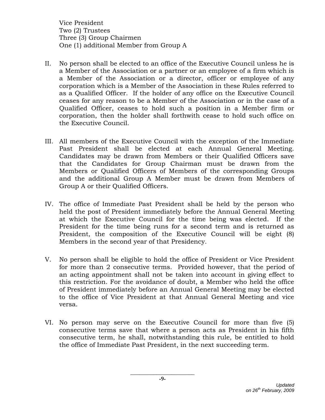Vice President Two (2) Trustees Three (3) Group Chairmen One (1) additional Member from Group A

- II. No person shall be elected to an office of the Executive Council unless he is a Member of the Association or a partner or an employee of a firm which is a Member of the Association or a director, officer or employee of any corporation which is a Member of the Association in these Rules referred to as a Qualified Officer. If the holder of any office on the Executive Council ceases for any reason to be a Member of the Association or in the case of a Qualified Officer, ceases to hold such a position in a Member firm or corporation, then the holder shall forthwith cease to hold such office on the Executive Council.
- III. All members of the Executive Council with the exception of the Immediate Past President shall be elected at each Annual General Meeting. Candidates may be drawn from Members or their Qualified Officers save that the Candidates for Group Chairman must be drawn from the Members or Qualified Officers of Members of the corresponding Groups and the additional Group A Member must be drawn from Members of Group A or their Qualified Officers.
- IV. The office of Immediate Past President shall be held by the person who held the post of President immediately before the Annual General Meeting at which the Executive Council for the time being was elected. If the President for the time being runs for a second term and is returned as President, the composition of the Executive Council will be eight (8) Members in the second year of that Presidency.
- V. No person shall be eligible to hold the office of President or Vice President for more than 2 consecutive terms. Provided however, that the period of an acting appointment shall not be taken into account in giving effect to this restriction. For the avoidance of doubt, a Member who held the office of President immediately before an Annual General Meeting may be elected to the office of Vice President at that Annual General Meeting and vice versa.
- VI. No person may serve on the Executive Council for more than five (5) consecutive terms save that where a person acts as President in his fifth consecutive term, he shall, notwithstanding this rule, be entitled to hold the office of Immediate Past President, in the next succeeding term.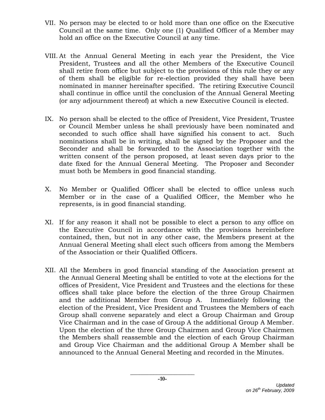- VII. No person may be elected to or hold more than one office on the Executive Council at the same time. Only one (1) Qualified Officer of a Member may hold an office on the Executive Council at any time.
- VIII. At the Annual General Meeting in each year the President, the Vice President, Trustees and all the other Members of the Executive Council shall retire from office but subject to the provisions of this rule they or any of them shall be eligible for re-election provided they shall have been nominated in manner hereinafter specified. The retiring Executive Council shall continue in office until the conclusion of the Annual General Meeting (or any adjournment thereof) at which a new Executive Council is elected.
- IX. No person shall be elected to the office of President, Vice President, Trustee or Council Member unless he shall previously have been nominated and seconded to such office shall have signified his consent to act. Such nominations shall be in writing, shall be signed by the Proposer and the Seconder and shall be forwarded to the Association together with the written consent of the person proposed, at least seven days prior to the date fixed for the Annual General Meeting. The Proposer and Seconder must both be Members in good financial standing.
- X. No Member or Qualified Officer shall be elected to office unless such Member or in the case of a Qualified Officer, the Member who he represents, is in good financial standing.
- XI. If for any reason it shall not be possible to elect a person to any office on the Executive Council in accordance with the provisions hereinbefore contained, then, but not in any other case, the Members present at the Annual General Meeting shall elect such officers from among the Members of the Association or their Qualified Officers.
- XII. All the Members in good financial standing of the Association present at the Annual General Meeting shall be entitled to vote at the elections for the offices of President, Vice President and Trustees and the elections for these offices shall take place before the election of the three Group Chairmen and the additional Member from Group A. Immediately following the election of the President, Vice President and Trustees the Members of each Group shall convene separately and elect a Group Chairman and Group Vice Chairman and in the case of Group A the additional Group A Member. Upon the election of the three Group Chairmen and Group Vice Chairmen the Members shall reassemble and the election of each Group Chairman and Group Vice Chairman and the additional Group A Member shall be announced to the Annual General Meeting and recorded in the Minutes.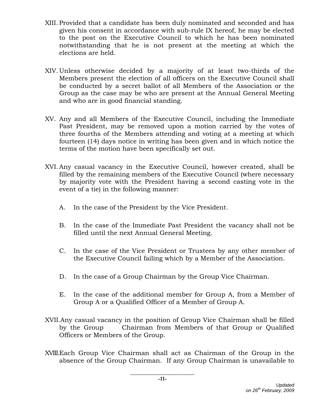- XIII. Provided that a candidate has been duly nominated and seconded and has given his consent in accordance with sub-rule IX hereof, he may be elected to the post on the Executive Council to which he has been nominated notwithstanding that he is not present at the meeting at which the elections are held.
- XIV. Unless otherwise decided by a majority of at least two-thirds of the Members present the election of all officers on the Executive Council shall be conducted by a secret ballot of all Members of the Association or the Group as the case may be who are present at the Annual General Meeting and who are in good financial standing.
- XV. Any and all Members of the Executive Council, including the Immediate Past President, may be removed upon a motion carried by the votes of three fourths of the Members attending and voting at a meeting at which fourteen (14) days notice in writing has been given and in which notice the terms of the motion have been specifically set out.
- XVI.Any casual vacancy in the Executive Council, however created, shall be filled by the remaining members of the Executive Council (where necessary by majority vote with the President having a second casting vote in the event of a tie) in the following manner:
	- A. In the case of the President by the Vice President.
	- B. In the case of the Immediate Past President the vacancy shall not be filled until the next Annual General Meeting.
	- C. In the case of the Vice President or Trustees by any other member of the Executive Council failing which by a Member of the Association.
	- D. In the case of a Group Chairman by the Group Vice Chairman.
	- E. In the case of the additional member for Group A, from a Member of Group A or a Qualified Officer of a Member of Group A.
- XVII.Any casual vacancy in the position of Group Vice Chairman shall be filled by the Group Chairman from Members of that Group or Qualified Officers or Members of the Group.
- XVIII.Each Group Vice Chairman shall act as Chairman of the Group in the absence of the Group Chairman. If any Group Chairman is unavailable to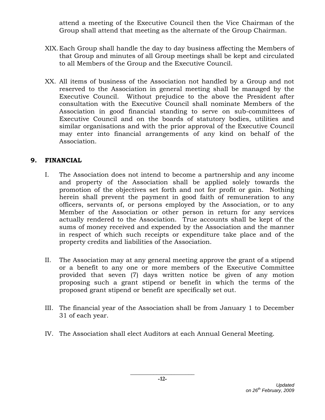attend a meeting of the Executive Council then the Vice Chairman of the Group shall attend that meeting as the alternate of the Group Chairman.

- XIX.Each Group shall handle the day to day business affecting the Members of that Group and minutes of all Group meetings shall be kept and circulated to all Members of the Group and the Executive Council.
- XX. All items of business of the Association not handled by a Group and not reserved to the Association in general meeting shall be managed by the Executive Council. Without prejudice to the above the President after consultation with the Executive Council shall nominate Members of the Association in good financial standing to serve on sub-committees of Executive Council and on the boards of statutory bodies, utilities and similar organisations and with the prior approval of the Executive Council may enter into financial arrangements of any kind on behalf of the Association.

# **9. FINANCIAL**

- I. The Association does not intend to become a partnership and any income and property of the Association shall be applied solely towards the promotion of the objectives set forth and not for profit or gain. Nothing herein shall prevent the payment in good faith of remuneration to any officers, servants of, or persons employed by the Association, or to any Member of the Association or other person in return for any services actually rendered to the Association. True accounts shall be kept of the sums of money received and expended by the Association and the manner in respect of which such receipts or expenditure take place and of the property credits and liabilities of the Association.
- II. The Association may at any general meeting approve the grant of a stipend or a benefit to any one or more members of the Executive Committee provided that seven (7) days written notice be given of any motion proposing such a grant stipend or benefit in which the terms of the proposed grant stipend or benefit are specifically set out.
- III. The financial year of the Association shall be from January 1 to December 31 of each year.
- IV. The Association shall elect Auditors at each Annual General Meeting.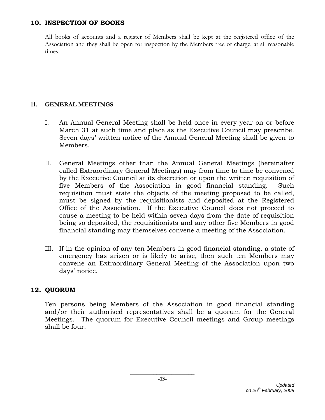#### **10. INSPECTION OF BOOKS**

All books of accounts and a register of Members shall be kept at the registered office of the Association and they shall be open for inspection by the Members free of charge, at all reasonable times.

#### **11. GENERAL MEETINGS**

- I. An Annual General Meeting shall be held once in every year on or before March 31 at such time and place as the Executive Council may prescribe. Seven days' written notice of the Annual General Meeting shall be given to Members.
- II. General Meetings other than the Annual General Meetings (hereinafter called Extraordinary General Meetings) may from time to time be convened by the Executive Council at its discretion or upon the written requisition of five Members of the Association in good financial standing. Such requisition must state the objects of the meeting proposed to be called, must be signed by the requisitionists and deposited at the Registered Office of the Association. If the Executive Council does not proceed to cause a meeting to be held within seven days from the date of requisition being so deposited, the requisitionists and any other five Members in good financial standing may themselves convene a meeting of the Association.
- III. If in the opinion of any ten Members in good financial standing, a state of emergency has arisen or is likely to arise, then such ten Members may convene an Extraordinary General Meeting of the Association upon two days' notice.

### **12. QUORUM**

Ten persons being Members of the Association in good financial standing and/or their authorised representatives shall be a quorum for the General Meetings. The quorum for Executive Council meetings and Group meetings shall be four.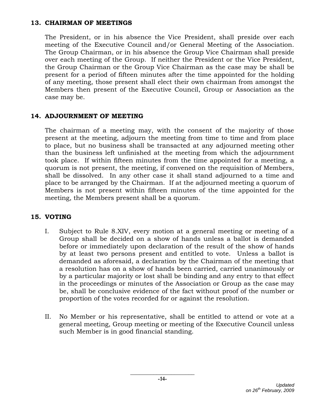#### **13. CHAIRMAN OF MEETINGS**

The President, or in his absence the Vice President, shall preside over each meeting of the Executive Council and/or General Meeting of the Association. The Group Chairman, or in his absence the Group Vice Chairman shall preside over each meeting of the Group. If neither the President or the Vice President, the Group Chairman or the Group Vice Chairman as the case may be shall be present for a period of fifteen minutes after the time appointed for the holding of any meeting, those present shall elect their own chairman from amongst the Members then present of the Executive Council, Group or Association as the case may be.

### **14. ADJOURNMENT OF MEETING**

The chairman of a meeting may, with the consent of the majority of those present at the meeting, adjourn the meeting from time to time and from place to place, but no business shall be transacted at any adjourned meeting other than the business left unfinished at the meeting from which the adjournment took place. If within fifteen minutes from the time appointed for a meeting, a quorum is not present, the meeting, if convened on the requisition of Members, shall be dissolved. In any other case it shall stand adjourned to a time and place to be arranged by the Chairman. If at the adjourned meeting a quorum of Members is not present within fifteen minutes of the time appointed for the meeting, the Members present shall be a quorum.

# **15. VOTING**

- I. Subject to Rule 8.XIV, every motion at a general meeting or meeting of a Group shall be decided on a show of hands unless a ballot is demanded before or immediately upon declaration of the result of the show of hands by at least two persons present and entitled to vote. Unless a ballot is demanded as aforesaid, a declaration by the Chairman of the meeting that a resolution has on a show of hands been carried, carried unanimously or by a particular majority or lost shall be binding and any entry to that effect in the proceedings or minutes of the Association or Group as the case may be, shall be conclusive evidence of the fact without proof of the number or proportion of the votes recorded for or against the resolution.
- II. No Member or his representative, shall be entitled to attend or vote at a general meeting, Group meeting or meeting of the Executive Council unless such Member is in good financial standing.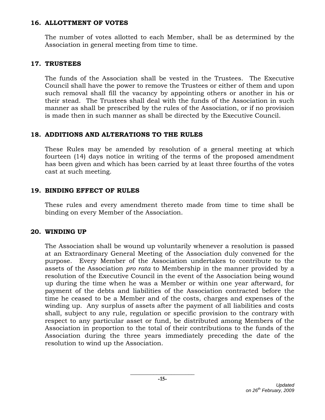#### **16. ALLOTTMENT OF VOTES**

The number of votes allotted to each Member, shall be as determined by the Association in general meeting from time to time.

### **17. TRUSTEES**

The funds of the Association shall be vested in the Trustees. The Executive Council shall have the power to remove the Trustees or either of them and upon such removal shall fill the vacancy by appointing others or another in his or their stead. The Trustees shall deal with the funds of the Association in such manner as shall be prescribed by the rules of the Association, or if no provision is made then in such manner as shall be directed by the Executive Council.

### **18. ADDITIONS AND ALTERATIONS TO THE RULES**

These Rules may be amended by resolution of a general meeting at which fourteen (14) days notice in writing of the terms of the proposed amendment has been given and which has been carried by at least three fourths of the votes cast at such meeting.

### **19. BINDING EFFECT OF RULES**

These rules and every amendment thereto made from time to time shall be binding on every Member of the Association.

### **20. WINDING UP**

The Association shall be wound up voluntarily whenever a resolution is passed at an Extraordinary General Meeting of the Association duly convened for the purpose. Every Member of the Association undertakes to contribute to the assets of the Association *pro rata* to Membership in the manner provided by a resolution of the Executive Council in the event of the Association being wound up during the time when he was a Member or within one year afterward, for payment of the debts and liabilities of the Association contracted before the time he ceased to be a Member and of the costs, charges and expenses of the winding up. Any surplus of assets after the payment of all liabilities and costs shall, subject to any rule, regulation or specific provision to the contrary with respect to any particular asset or fund, be distributed among Members of the Association in proportion to the total of their contributions to the funds of the Association during the three years immediately preceding the date of the resolution to wind up the Association.